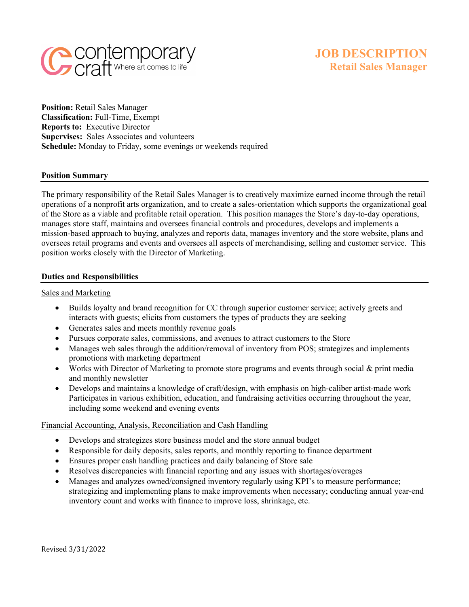

**Position:** Retail Sales Manager **Classification:** Full-Time, Exempt **Reports to:** Executive Director **Supervises:** Sales Associates and volunteers **Schedule:** Monday to Friday, some evenings or weekends required

#### **Position Summary**

The primary responsibility of the Retail Sales Manager is to creatively maximize earned income through the retail operations of a nonprofit arts organization, and to create a sales-orientation which supports the organizational goal of the Store as a viable and profitable retail operation. This position manages the Store's day-to-day operations, manages store staff, maintains and oversees financial controls and procedures, develops and implements a mission-based approach to buying, analyzes and reports data, manages inventory and the store website, plans and oversees retail programs and events and oversees all aspects of merchandising, selling and customer service. This position works closely with the Director of Marketing.

#### **Duties and Responsibilities**

#### Sales and Marketing

- Builds loyalty and brand recognition for CC through superior customer service; actively greets and interacts with guests; elicits from customers the types of products they are seeking
- Generates sales and meets monthly revenue goals
- Pursues corporate sales, commissions, and avenues to attract customers to the Store
- Manages web sales through the addition/removal of inventory from POS; strategizes and implements promotions with marketing department
- Works with Director of Marketing to promote store programs and events through social & print media and monthly newsletter
- Develops and maintains a knowledge of craft/design, with emphasis on high-caliber artist-made work Participates in various exhibition, education, and fundraising activities occurring throughout the year, including some weekend and evening events

## Financial Accounting, Analysis, Reconciliation and Cash Handling

- Develops and strategizes store business model and the store annual budget
- Responsible for daily deposits, sales reports, and monthly reporting to finance department
- Ensures proper cash handling practices and daily balancing of Store sale
- Resolves discrepancies with financial reporting and any issues with shortages/overages
- Manages and analyzes owned/consigned inventory regularly using KPI's to measure performance; strategizing and implementing plans to make improvements when necessary; conducting annual year-end inventory count and works with finance to improve loss, shrinkage, etc.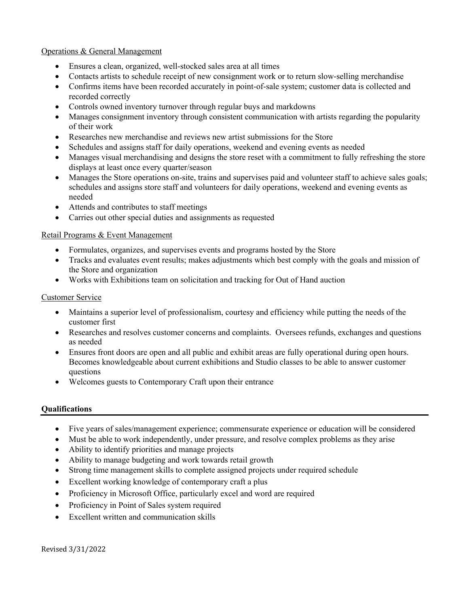## Operations & General Management

- Ensures a clean, organized, well-stocked sales area at all times
- Contacts artists to schedule receipt of new consignment work or to return slow-selling merchandise
- Confirms items have been recorded accurately in point-of-sale system; customer data is collected and recorded correctly
- Controls owned inventory turnover through regular buys and markdowns
- Manages consignment inventory through consistent communication with artists regarding the popularity of their work
- Researches new merchandise and reviews new artist submissions for the Store
- Schedules and assigns staff for daily operations, weekend and evening events as needed
- Manages visual merchandising and designs the store reset with a commitment to fully refreshing the store displays at least once every quarter/season
- Manages the Store operations on-site, trains and supervises paid and volunteer staff to achieve sales goals; schedules and assigns store staff and volunteers for daily operations, weekend and evening events as needed
- Attends and contributes to staff meetings
- Carries out other special duties and assignments as requested

## Retail Programs & Event Management

- Formulates, organizes, and supervises events and programs hosted by the Store
- Tracks and evaluates event results; makes adjustments which best comply with the goals and mission of the Store and organization
- Works with Exhibitions team on solicitation and tracking for Out of Hand auction

# Customer Service

- Maintains a superior level of professionalism, courtesy and efficiency while putting the needs of the customer first
- Researches and resolves customer concerns and complaints. Oversees refunds, exchanges and questions as needed
- Ensures front doors are open and all public and exhibit areas are fully operational during open hours. Becomes knowledgeable about current exhibitions and Studio classes to be able to answer customer questions
- Welcomes guests to Contemporary Craft upon their entrance

## **Qualifications**

- Five years of sales/management experience; commensurate experience or education will be considered
- Must be able to work independently, under pressure, and resolve complex problems as they arise
- Ability to identify priorities and manage projects
- Ability to manage budgeting and work towards retail growth
- Strong time management skills to complete assigned projects under required schedule
- Excellent working knowledge of contemporary craft a plus
- Proficiency in Microsoft Office, particularly excel and word are required
- Proficiency in Point of Sales system required
- Excellent written and communication skills

Revised 3/31/2022